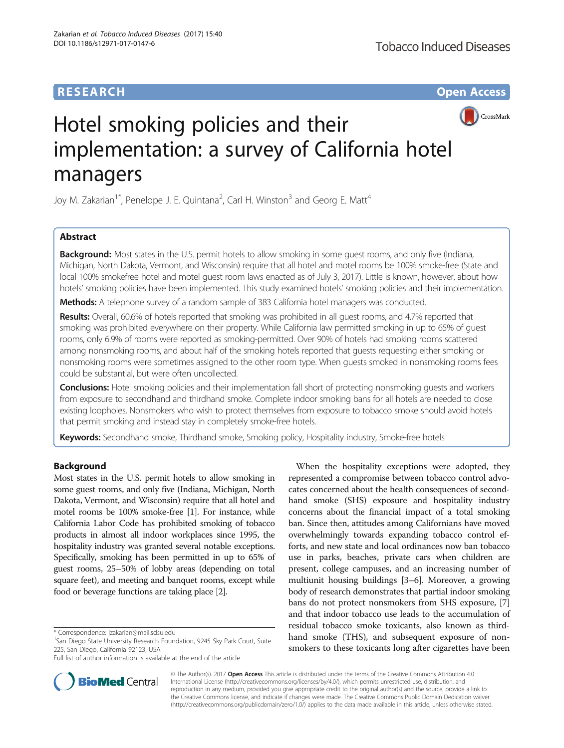# **RESEARCH CHE Open Access**



# Hotel smoking policies and their implementation: a survey of California hotel managers

Joy M. Zakarian<sup>1\*</sup>, Penelope J. E. Quintana<sup>2</sup>, Carl H. Winston<sup>3</sup> and Georg E. Matt<sup>4</sup>

# Abstract

Background: Most states in the U.S. permit hotels to allow smoking in some quest rooms, and only five (Indiana, Michigan, North Dakota, Vermont, and Wisconsin) require that all hotel and motel rooms be 100% smoke-free (State and local 100% smokefree hotel and motel guest room laws enacted as of July 3, 2017). Little is known, however, about how hotels' smoking policies have been implemented. This study examined hotels' smoking policies and their implementation.

Methods: A telephone survey of a random sample of 383 California hotel managers was conducted.

Results: Overall, 60.6% of hotels reported that smoking was prohibited in all quest rooms, and 4.7% reported that smoking was prohibited everywhere on their property. While California law permitted smoking in up to 65% of guest rooms, only 6.9% of rooms were reported as smoking-permitted. Over 90% of hotels had smoking rooms scattered among nonsmoking rooms, and about half of the smoking hotels reported that guests requesting either smoking or nonsmoking rooms were sometimes assigned to the other room type. When guests smoked in nonsmoking rooms fees could be substantial, but were often uncollected.

**Conclusions:** Hotel smoking policies and their implementation fall short of protecting nonsmoking quests and workers from exposure to secondhand and thirdhand smoke. Complete indoor smoking bans for all hotels are needed to close existing loopholes. Nonsmokers who wish to protect themselves from exposure to tobacco smoke should avoid hotels that permit smoking and instead stay in completely smoke-free hotels.

Keywords: Secondhand smoke, Thirdhand smoke, Smoking policy, Hospitality industry, Smoke-free hotels

## Background

Most states in the U.S. permit hotels to allow smoking in some guest rooms, and only five (Indiana, Michigan, North Dakota, Vermont, and Wisconsin) require that all hotel and motel rooms be 100% smoke-free [[1](#page-7-0)]. For instance, while California Labor Code has prohibited smoking of tobacco products in almost all indoor workplaces since 1995, the hospitality industry was granted several notable exceptions. Specifically, smoking has been permitted in up to 65% of guest rooms, 25–50% of lobby areas (depending on total square feet), and meeting and banquet rooms, except while food or beverage functions are taking place [[2](#page-7-0)].

Full list of author information is available at the end of the article



**BioMed Central** 

© The Author(s). 2017 **Open Access** This article is distributed under the terms of the Creative Commons Attribution 4.0 International License [\(http://creativecommons.org/licenses/by/4.0/](http://creativecommons.org/licenses/by/4.0/)), which permits unrestricted use, distribution, and reproduction in any medium, provided you give appropriate credit to the original author(s) and the source, provide a link to the Creative Commons license, and indicate if changes were made. The Creative Commons Public Domain Dedication waiver [\(http://creativecommons.org/publicdomain/zero/1.0/](http://creativecommons.org/publicdomain/zero/1.0/)) applies to the data made available in this article, unless otherwise stated.

<sup>\*</sup> Correspondence: [jzakarian@mail.sdsu.edu](mailto:jzakarian@mail.sdsu.edu) <sup>1</sup>

<sup>&</sup>lt;sup>1</sup>San Diego State University Research Foundation, 9245 Sky Park Court, Suite 225, San Diego, California 92123, USA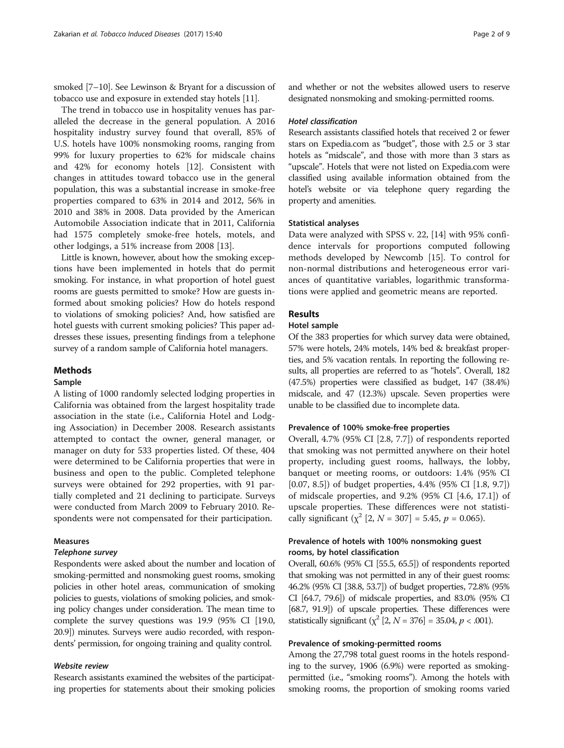smoked [[7](#page-7-0)–[10\]](#page-7-0). See Lewinson & Bryant for a discussion of tobacco use and exposure in extended stay hotels [\[11\]](#page-7-0).

The trend in tobacco use in hospitality venues has paralleled the decrease in the general population. A 2016 hospitality industry survey found that overall, 85% of U.S. hotels have 100% nonsmoking rooms, ranging from 99% for luxury properties to 62% for midscale chains and 42% for economy hotels [[12\]](#page-7-0). Consistent with changes in attitudes toward tobacco use in the general population, this was a substantial increase in smoke-free properties compared to 63% in 2014 and 2012, 56% in 2010 and 38% in 2008. Data provided by the American Automobile Association indicate that in 2011, California had 1575 completely smoke-free hotels, motels, and other lodgings, a 51% increase from 2008 [\[13](#page-7-0)].

Little is known, however, about how the smoking exceptions have been implemented in hotels that do permit smoking. For instance, in what proportion of hotel guest rooms are guests permitted to smoke? How are guests informed about smoking policies? How do hotels respond to violations of smoking policies? And, how satisfied are hotel guests with current smoking policies? This paper addresses these issues, presenting findings from a telephone survey of a random sample of California hotel managers.

## Methods

## Sample

A listing of 1000 randomly selected lodging properties in California was obtained from the largest hospitality trade association in the state (i.e., California Hotel and Lodging Association) in December 2008. Research assistants attempted to contact the owner, general manager, or manager on duty for 533 properties listed. Of these, 404 were determined to be California properties that were in business and open to the public. Completed telephone surveys were obtained for 292 properties, with 91 partially completed and 21 declining to participate. Surveys were conducted from March 2009 to February 2010. Respondents were not compensated for their participation.

## Measures

## Telephone survey

Respondents were asked about the number and location of smoking-permitted and nonsmoking guest rooms, smoking policies in other hotel areas, communication of smoking policies to guests, violations of smoking policies, and smoking policy changes under consideration. The mean time to complete the survey questions was 19.9 (95% CI [19.0, 20.9]) minutes. Surveys were audio recorded, with respondents' permission, for ongoing training and quality control.

## Website review

Research assistants examined the websites of the participating properties for statements about their smoking policies

and whether or not the websites allowed users to reserve designated nonsmoking and smoking-permitted rooms.

### Hotel classification

Research assistants classified hotels that received 2 or fewer stars on [Expedia.com](http://expedia.com) as "budget", those with 2.5 or 3 star hotels as "midscale", and those with more than 3 stars as "upscale". Hotels that were not listed on [Expedia.com](http://expedia.com) were classified using available information obtained from the hotel's website or via telephone query regarding the property and amenities.

#### Statistical analyses

Data were analyzed with SPSS v. 22, [\[14](#page-7-0)] with 95% confidence intervals for proportions computed following methods developed by Newcomb [\[15](#page-7-0)]. To control for non-normal distributions and heterogeneous error variances of quantitative variables, logarithmic transformations were applied and geometric means are reported.

## Results

## Hotel sample

Of the 383 properties for which survey data were obtained, 57% were hotels, 24% motels, 14% bed & breakfast properties, and 5% vacation rentals. In reporting the following results, all properties are referred to as "hotels". Overall, 182 (47.5%) properties were classified as budget, 147 (38.4%) midscale, and 47 (12.3%) upscale. Seven properties were unable to be classified due to incomplete data.

## Prevalence of 100% smoke-free properties

Overall, 4.7% (95% CI [2.8, 7.7]) of respondents reported that smoking was not permitted anywhere on their hotel property, including guest rooms, hallways, the lobby, banquet or meeting rooms, or outdoors: 1.4% (95% CI [0.07, 8.5]) of budget properties, 4.4% (95% CI [1.8, 9.7]) of midscale properties, and 9.2% (95% CI [4.6, 17.1]) of upscale properties. These differences were not statistically significant  $(\chi^2$  [2, N = 307] = 5.45, p = 0.065).

# Prevalence of hotels with 100% nonsmoking guest rooms, by hotel classification

Overall, 60.6% (95% CI [55.5, 65.5]) of respondents reported that smoking was not permitted in any of their guest rooms: 46.2% (95% CI [38.8, 53.7]) of budget properties, 72.8% (95% CI [64.7, 79.6]) of midscale properties, and 83.0% (95% CI [68.7, 91.9]) of upscale properties. These differences were statistically significant  $(\chi^2 [2, N = 376] = 35.04, p < .001)$ .

## Prevalence of smoking-permitted rooms

Among the 27,798 total guest rooms in the hotels responding to the survey, 1906 (6.9%) were reported as smokingpermitted (i.e., "smoking rooms"). Among the hotels with smoking rooms, the proportion of smoking rooms varied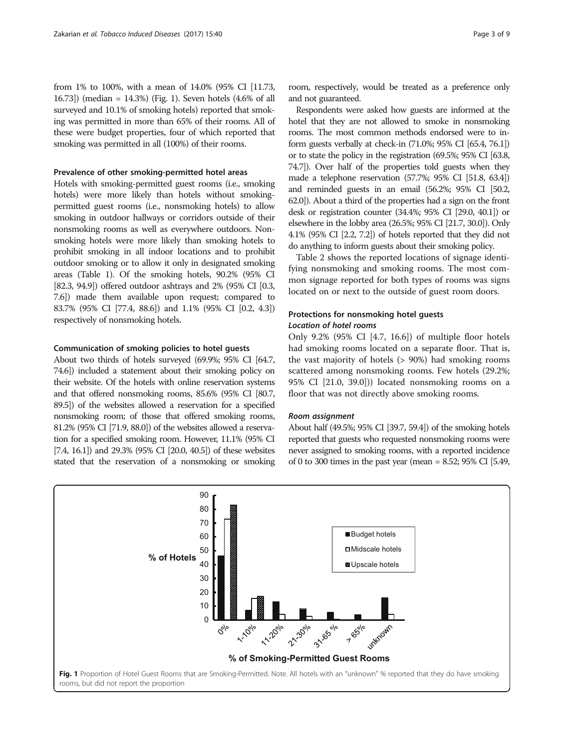from 1% to 100%, with a mean of 14.0% (95% CI [11.73, 16.73]) (median = 14.3%) (Fig. 1). Seven hotels (4.6% of all surveyed and 10.1% of smoking hotels) reported that smoking was permitted in more than 65% of their rooms. All of these were budget properties, four of which reported that smoking was permitted in all (100%) of their rooms.

#### Prevalence of other smoking-permitted hotel areas

Hotels with smoking-permitted guest rooms (i.e., smoking hotels) were more likely than hotels without smokingpermitted guest rooms (i.e., nonsmoking hotels) to allow smoking in outdoor hallways or corridors outside of their nonsmoking rooms as well as everywhere outdoors. Nonsmoking hotels were more likely than smoking hotels to prohibit smoking in all indoor locations and to prohibit outdoor smoking or to allow it only in designated smoking areas (Table [1\)](#page-3-0). Of the smoking hotels, 90.2% (95% CI [82.3, 94.9]) offered outdoor ashtrays and 2% (95% CI [0.3, 7.6]) made them available upon request; compared to 83.7% (95% CI [77.4, 88.6]) and 1.1% (95% CI [0.2, 4.3]) respectively of nonsmoking hotels.

#### Communication of smoking policies to hotel guests

About two thirds of hotels surveyed (69.9%; 95% CI [64.7, 74.6]) included a statement about their smoking policy on their website. Of the hotels with online reservation systems and that offered nonsmoking rooms, 85.6% (95% CI [80.7, 89.5]) of the websites allowed a reservation for a specified nonsmoking room; of those that offered smoking rooms, 81.2% (95% CI [71.9, 88.0]) of the websites allowed a reservation for a specified smoking room. However, 11.1% (95% CI [7.4, 16.1]) and 29.3% (95% CI [20.0, 40.5]) of these websites stated that the reservation of a nonsmoking or smoking

room, respectively, would be treated as a preference only and not guaranteed.

Respondents were asked how guests are informed at the hotel that they are not allowed to smoke in nonsmoking rooms. The most common methods endorsed were to inform guests verbally at check-in (71.0%; 95% CI [65.4, 76.1]) or to state the policy in the registration (69.5%; 95% CI [63.8, 74.7]). Over half of the properties told guests when they made a telephone reservation (57.7%; 95% CI [51.8, 63.4]) and reminded guests in an email (56.2%; 95% CI [50.2, 62.0]). About a third of the properties had a sign on the front desk or registration counter (34.4%; 95% CI [29.0, 40.1]) or elsewhere in the lobby area (26.5%; 95% CI [21.7, 30.0]). Only 4.1% (95% CI [2.2, 7.2]) of hotels reported that they did not do anything to inform guests about their smoking policy.

Table [2](#page-3-0) shows the reported locations of signage identifying nonsmoking and smoking rooms. The most common signage reported for both types of rooms was signs located on or next to the outside of guest room doors.

# Protections for nonsmoking hotel guests Location of hotel rooms

Only 9.2% (95% CI [4.7, 16.6]) of multiple floor hotels had smoking rooms located on a separate floor. That is, the vast majority of hotels (> 90%) had smoking rooms scattered among nonsmoking rooms. Few hotels (29.2%; 95% CI [21.0, 39.0])) located nonsmoking rooms on a floor that was not directly above smoking rooms.

#### Room assignment

About half (49.5%; 95% CI [39.7, 59.4]) of the smoking hotels reported that guests who requested nonsmoking rooms were never assigned to smoking rooms, with a reported incidence of 0 to 300 times in the past year (mean = 8.52; 95% CI [5.49,

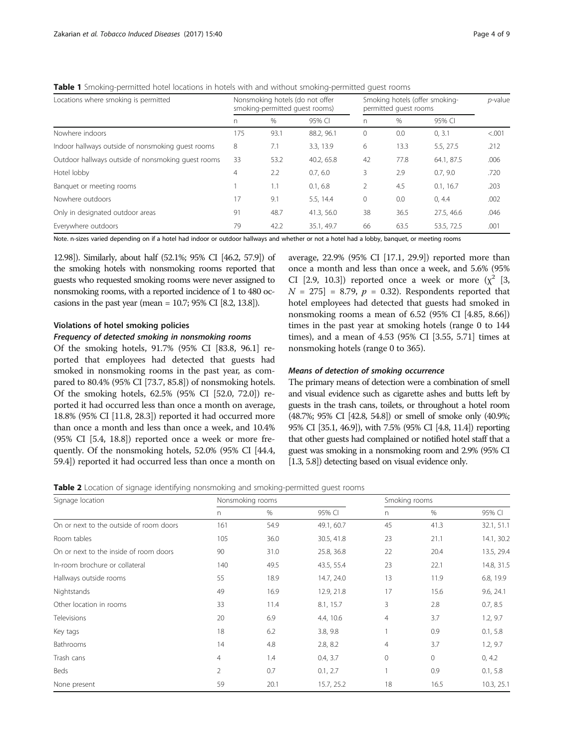<span id="page-3-0"></span>Table 1 Smoking-permitted hotel locations in hotels with and without smoking-permitted quest rooms

| Locations where smoking is permitted               |                |      | Nonsmoking hotels (do not offer<br>smoking-permitted quest rooms) | Smoking hotels (offer smoking-<br>permitted quest rooms |      |            | $p$ -value |
|----------------------------------------------------|----------------|------|-------------------------------------------------------------------|---------------------------------------------------------|------|------------|------------|
|                                                    | n              | $\%$ | 95% CI                                                            | n                                                       | $\%$ | 95% CI     |            |
| Nowhere indoors                                    | 175            | 93.1 | 88.2, 96.1                                                        | 0                                                       | 0.0  | 0, 3.1     | < 0.001    |
| Indoor hallways outside of nonsmoking quest rooms  | 8              | 7.1  | 3.3, 13.9                                                         | 6                                                       | 13.3 | 5.5, 27.5  | .212       |
| Outdoor hallways outside of nonsmoking quest rooms | 33             | 53.2 | 40.2, 65.8                                                        | 42                                                      | 77.8 | 64.1, 87.5 | .006       |
| Hotel lobby                                        | $\overline{4}$ | 2.2  | 0.7.6.0                                                           | 3                                                       | 2.9  | 0.7, 9.0   | .720       |
| Banquet or meeting rooms                           |                | 1.1  | 0.1, 6.8                                                          | $\mathfrak{D}$                                          | 4.5  | 0.1, 16.7  | .203       |
| Nowhere outdoors                                   | 17             | 9.1  | 5.5, 14.4                                                         | 0                                                       | 0.0  | 0, 4.4     | .002       |
| Only in designated outdoor areas                   | 91             | 48.7 | 41.3, 56.0                                                        | 38                                                      | 36.5 | 27.5, 46.6 | .046       |
| Everywhere outdoors                                | 79             | 42.2 | 35.1.49.7                                                         | 66                                                      | 63.5 | 53.5, 72.5 | .001       |

Note. n-sizes varied depending on if a hotel had indoor or outdoor hallways and whether or not a hotel had a lobby, banquet, or meeting rooms

12.98]). Similarly, about half (52.1%; 95% CI [46.2, 57.9]) of the smoking hotels with nonsmoking rooms reported that guests who requested smoking rooms were never assigned to nonsmoking rooms, with a reported incidence of 1 to 480 occasions in the past year (mean =  $10.7$ ; 95% CI [8.2, 13.8]).

#### Violations of hotel smoking policies

#### Frequency of detected smoking in nonsmoking rooms

Of the smoking hotels, 91.7% (95% CI [83.8, 96.1] reported that employees had detected that guests had smoked in nonsmoking rooms in the past year, as compared to 80.4% (95% CI [73.7, 85.8]) of nonsmoking hotels. Of the smoking hotels, 62.5% (95% CI [52.0, 72.0]) reported it had occurred less than once a month on average, 18.8% (95% CI [11.8, 28.3]) reported it had occurred more than once a month and less than once a week, and 10.4% (95% CI [5.4, 18.8]) reported once a week or more frequently. Of the nonsmoking hotels, 52.0% (95% CI [44.4, 59.4]) reported it had occurred less than once a month on average, 22.9% (95% CI [17.1, 29.9]) reported more than once a month and less than once a week, and 5.6% (95% CI [2.9, 10.3]) reported once a week or more  $(\chi^2)$  [3,  $N = 275$  = 8.79,  $p = 0.32$ ). Respondents reported that hotel employees had detected that guests had smoked in nonsmoking rooms a mean of 6.52 (95% CI [4.85, 8.66]) times in the past year at smoking hotels (range 0 to 144 times), and a mean of 4.53 (95% CI [3.55, 5.71] times at nonsmoking hotels (range 0 to 365).

## Means of detection of smoking occurrence

The primary means of detection were a combination of smell and visual evidence such as cigarette ashes and butts left by guests in the trash cans, toilets, or throughout a hotel room (48.7%; 95% CI [42.8, 54.8]) or smell of smoke only (40.9%; 95% CI [35.1, 46.9]), with 7.5% (95% CI [4.8, 11.4]) reporting that other guests had complained or notified hotel staff that a guest was smoking in a nonsmoking room and 2.9% (95% CI [1.3, 5.8]) detecting based on visual evidence only.

|  |  |  |  | Table 2 Location of signage identifying nonsmoking and smoking-permitted guest rooms |  |  |  |  |
|--|--|--|--|--------------------------------------------------------------------------------------|--|--|--|--|
|--|--|--|--|--------------------------------------------------------------------------------------|--|--|--|--|

| Signage location                        |                | Nonsmoking rooms |            | Smoking rooms  |                     |            |  |
|-----------------------------------------|----------------|------------------|------------|----------------|---------------------|------------|--|
|                                         | n              | %                | 95% CI     | n              | %                   | 95% CI     |  |
| On or next to the outside of room doors | 161            | 54.9             | 49.1, 60.7 | 45             | 41.3                | 32.1, 51.1 |  |
| Room tables                             | 105            | 36.0             | 30.5, 41.8 | 23             | 21.1                | 14.1, 30.2 |  |
| On or next to the inside of room doors  | 90             | 31.0             | 25.8, 36.8 | 22             | 20.4                | 13.5, 29.4 |  |
| In-room brochure or collateral          | 140            | 49.5             | 43.5, 55.4 | 23             | 22.1                | 14.8, 31.5 |  |
| Hallways outside rooms                  | 55             | 18.9             | 14.7, 24.0 | 13             | 11.9                | 6.8, 19.9  |  |
| Nightstands                             | 49             | 16.9             | 12.9, 21.8 | 17             | 15.6                | 9.6, 24.1  |  |
| Other location in rooms                 | 33             | 11.4             | 8.1, 15.7  | 3              | 2.8                 | 0.7, 8.5   |  |
| Televisions                             | 20             | 6.9              | 4.4, 10.6  | $\overline{4}$ | 3.7                 | 1.2, 9.7   |  |
| Key tags                                | 18             | 6.2              | 3.8, 9.8   |                | 0.9                 | 0.1, 5.8   |  |
| Bathrooms                               | 14             | 4.8              | 2.8, 8.2   | $\overline{4}$ | 3.7                 | 1.2, 9.7   |  |
| Trash cans                              | 4              | 1.4              | 0.4, 3.7   | $\mathbf 0$    | $\mathsf{O}\xspace$ | 0, 4.2     |  |
| Beds                                    | $\overline{2}$ | 0.7              | 0.1, 2.7   |                | 0.9                 | 0.1, 5.8   |  |
| None present                            | 59             | 20.1             | 15.7, 25.2 | 18             | 16.5                | 10.3, 25.1 |  |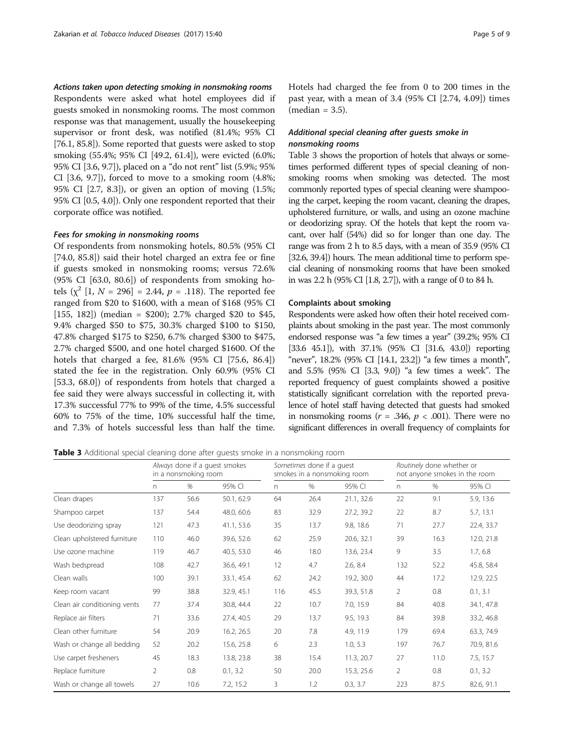Actions taken upon detecting smoking in nonsmoking rooms Respondents were asked what hotel employees did if guests smoked in nonsmoking rooms. The most common response was that management, usually the housekeeping supervisor or front desk, was notified (81.4%; 95% CI [76.1, 85.8]). Some reported that guests were asked to stop smoking (55.4%; 95% CI [49.2, 61.4]), were evicted (6.0%; 95% CI [3.6, 9.7]), placed on a "do not rent" list (5.9%; 95% CI [3.6, 9.7]), forced to move to a smoking room (4.8%; 95% CI [2.7, 8.3]), or given an option of moving (1.5%; 95% CI [0.5, 4.0]). Only one respondent reported that their corporate office was notified.

## Fees for smoking in nonsmoking rooms

Of respondents from nonsmoking hotels, 80.5% (95% CI [74.0, 85.8]) said their hotel charged an extra fee or fine if guests smoked in nonsmoking rooms; versus 72.6% (95% CI [63.0, 80.6]) of respondents from smoking hotels  $(\chi^2 \, [1, N = 296] = 2.44, p = .118)$ . The reported fee ranged from \$20 to \$1600, with a mean of \$168 (95% CI [155, 182]) (median =  $$200$ ); 2.7% charged \$20 to \$45, 9.4% charged \$50 to \$75, 30.3% charged \$100 to \$150, 47.8% charged \$175 to \$250, 6.7% charged \$300 to \$475, 2.7% charged \$500, and one hotel charged \$1600. Of the hotels that charged a fee, 81.6% (95% CI [75.6, 86.4]) stated the fee in the registration. Only 60.9% (95% CI [53.3, 68.0]) of respondents from hotels that charged a fee said they were always successful in collecting it, with 17.3% successful 77% to 99% of the time, 4.5% successful 60% to 75% of the time, 10% successful half the time, and 7.3% of hotels successful less than half the time. Hotels had charged the fee from 0 to 200 times in the past year, with a mean of 3.4 (95% CI [2.74, 4.09]) times  $(median = 3.5)$ .

## Additional special cleaning after guests smoke in nonsmoking rooms

Table 3 shows the proportion of hotels that always or sometimes performed different types of special cleaning of nonsmoking rooms when smoking was detected. The most commonly reported types of special cleaning were shampooing the carpet, keeping the room vacant, cleaning the drapes, upholstered furniture, or walls, and using an ozone machine or deodorizing spray. Of the hotels that kept the room vacant, over half (54%) did so for longer than one day. The range was from 2 h to 8.5 days, with a mean of 35.9 (95% CI [32.6, 39.4]) hours. The mean additional time to perform special cleaning of nonsmoking rooms that have been smoked in was 2.2 h (95% CI [1.8, 2.7]), with a range of 0 to 84 h.

#### Complaints about smoking

Respondents were asked how often their hotel received complaints about smoking in the past year. The most commonly endorsed response was "a few times a year" (39.2%; 95% CI [33.6 45.1]), with 37.1% (95% CI [31.6, 43.0]) reporting "never", 18.2% (95% CI [14.1, 23.2]) "a few times a month", and 5.5% (95% CI [3.3, 9.0]) "a few times a week". The reported frequency of guest complaints showed a positive statistically significant correlation with the reported prevalence of hotel staff having detected that guests had smoked in nonsmoking rooms ( $r = .346$ ,  $p < .001$ ). There were no significant differences in overall frequency of complaints for

Table 3 Additional special cleaning done after guests smoke in a nonsmoking room

|                              | Always done if a guest smokes<br>in a nonsmoking room |      |            |     | Sometimes done if a quest<br>smokes in a nonsmoking room |            |                | Routinely done whether or<br>not anyone smokes in the room |            |  |
|------------------------------|-------------------------------------------------------|------|------------|-----|----------------------------------------------------------|------------|----------------|------------------------------------------------------------|------------|--|
|                              | n.                                                    | %    | 95% CI     | n   | %                                                        | 95% CI     | n              | $\%$                                                       | 95% CI     |  |
| Clean drapes                 | 137                                                   | 56.6 | 50.1, 62.9 | 64  | 26.4                                                     | 21.1, 32.6 | 22             | 9.1                                                        | 5.9, 13.6  |  |
| Shampoo carpet               | 137                                                   | 54.4 | 48.0, 60.6 | 83  | 32.9                                                     | 27.2, 39.2 | 22             | 8.7                                                        | 5.7, 13.1  |  |
| Use deodorizing spray        | 121                                                   | 47.3 | 41.1, 53.6 | 35  | 13.7                                                     | 9.8, 18.6  | 71             | 27.7                                                       | 22.4, 33.7 |  |
| Clean upholstered furniture  | 110                                                   | 46.0 | 39.6, 52.6 | 62  | 25.9                                                     | 20.6, 32.1 | 39             | 16.3                                                       | 12.0, 21.8 |  |
| Use ozone machine            | 119                                                   | 46.7 | 40.5, 53.0 | 46  | 18.0                                                     | 13.6, 23.4 | 9              | 3.5                                                        | 1.7, 6.8   |  |
| Wash bedspread               | 108                                                   | 42.7 | 36.6, 49.1 | 12  | 4.7                                                      | 2.6, 8.4   | 132            | 52.2                                                       | 45.8, 58.4 |  |
| Clean walls                  | 100                                                   | 39.1 | 33.1, 45.4 | 62  | 24.2                                                     | 19.2, 30.0 | 44             | 17.2                                                       | 12.9, 22.5 |  |
| Keep room vacant             | 99                                                    | 38.8 | 32.9, 45.1 | 116 | 45.5                                                     | 39.3, 51.8 | $\overline{2}$ | 0.8                                                        | 0.1, 3.1   |  |
| Clean air conditioning vents | 77                                                    | 37.4 | 30.8, 44.4 | 22  | 10.7                                                     | 7.0, 15.9  | 84             | 40.8                                                       | 34.1, 47.8 |  |
| Replace air filters          | 71                                                    | 33.6 | 27.4, 40.5 | 29  | 13.7                                                     | 9.5, 19.3  | 84             | 39.8                                                       | 33.2, 46.8 |  |
| Clean other furniture        | 54                                                    | 20.9 | 16.2, 26.5 | 20  | 7.8                                                      | 4.9, 11.9  | 179            | 69.4                                                       | 63.3, 74.9 |  |
| Wash or change all bedding   | 52                                                    | 20.2 | 15.6, 25.8 | 6   | 2.3                                                      | 1.0, 5.3   | 197            | 76.7                                                       | 70.9, 81.6 |  |
| Use carpet fresheners        | 45                                                    | 18.3 | 13.8, 23.8 | 38  | 15.4                                                     | 11.3, 20.7 | 27             | 11.0                                                       | 7.5, 15.7  |  |
| Replace furniture            | 2                                                     | 0.8  | 0.1, 3.2   | 50  | 20.0                                                     | 15.3, 25.6 | $\overline{2}$ | 0.8                                                        | 0.1, 3.2   |  |
| Wash or change all towels    | 27                                                    | 10.6 | 7.2, 15.2  | 3   | 1.2                                                      | 0.3, 3.7   | 223            | 87.5                                                       | 82.6, 91.1 |  |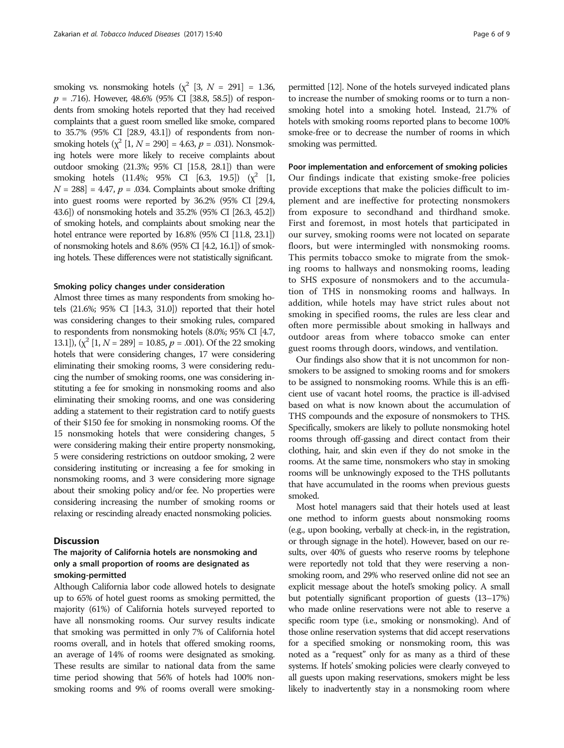smoking vs. nonsmoking hotels ( $\chi^2$  [3,  $N = 291$ ] = 1.36,  $p = .716$ ). However, 48.6% (95% CI [38.8, 58.5]) of respondents from smoking hotels reported that they had received complaints that a guest room smelled like smoke, compared to 35.7% (95% CI [28.9, 43.1]) of respondents from nonsmoking hotels  $(\chi^2 [1, N = 290] = 4.63, p = .031)$ . Nonsmoking hotels were more likely to receive complaints about outdoor smoking (21.3%; 95% CI [15.8, 28.1]) than were smoking hotels  $(11.4\%; 95\% \text{ CI} [6.3, 19.5]) (\chi^2 [1,$  $N = 288$ ] = 4.47,  $p = .034$ . Complaints about smoke drifting into guest rooms were reported by 36.2% (95% CI [29.4, 43.6]) of nonsmoking hotels and 35.2% (95% CI [26.3, 45.2]) of smoking hotels, and complaints about smoking near the hotel entrance were reported by  $16.8\%$  (95% CI [11.8, 23.1]) of nonsmoking hotels and 8.6% (95% CI [4.2, 16.1]) of smoking hotels. These differences were not statistically significant.

## Smoking policy changes under consideration

Almost three times as many respondents from smoking hotels (21.6%; 95% CI [14.3, 31.0]) reported that their hotel was considering changes to their smoking rules, compared to respondents from nonsmoking hotels (8.0%; 95% CI [4.7, 13.1]),  $(\chi^2$  [1, N = 289] = 10.85, p = .001). Of the 22 smoking hotels that were considering changes, 17 were considering eliminating their smoking rooms, 3 were considering reducing the number of smoking rooms, one was considering instituting a fee for smoking in nonsmoking rooms and also eliminating their smoking rooms, and one was considering adding a statement to their registration card to notify guests of their \$150 fee for smoking in nonsmoking rooms. Of the 15 nonsmoking hotels that were considering changes, 5 were considering making their entire property nonsmoking, 5 were considering restrictions on outdoor smoking, 2 were considering instituting or increasing a fee for smoking in nonsmoking rooms, and 3 were considering more signage about their smoking policy and/or fee. No properties were considering increasing the number of smoking rooms or relaxing or rescinding already enacted nonsmoking policies.

## **Discussion**

# The majority of California hotels are nonsmoking and only a small proportion of rooms are designated as smoking-permitted

Although California labor code allowed hotels to designate up to 65% of hotel guest rooms as smoking permitted, the majority (61%) of California hotels surveyed reported to have all nonsmoking rooms. Our survey results indicate that smoking was permitted in only 7% of California hotel rooms overall, and in hotels that offered smoking rooms, an average of 14% of rooms were designated as smoking. These results are similar to national data from the same time period showing that 56% of hotels had 100% nonsmoking rooms and 9% of rooms overall were smoking-

permitted [[12](#page-7-0)]. None of the hotels surveyed indicated plans to increase the number of smoking rooms or to turn a nonsmoking hotel into a smoking hotel. Instead, 21.7% of hotels with smoking rooms reported plans to become 100% smoke-free or to decrease the number of rooms in which smoking was permitted.

### Poor implementation and enforcement of smoking policies

Our findings indicate that existing smoke-free policies provide exceptions that make the policies difficult to implement and are ineffective for protecting nonsmokers from exposure to secondhand and thirdhand smoke. First and foremost, in most hotels that participated in our survey, smoking rooms were not located on separate floors, but were intermingled with nonsmoking rooms. This permits tobacco smoke to migrate from the smoking rooms to hallways and nonsmoking rooms, leading to SHS exposure of nonsmokers and to the accumulation of THS in nonsmoking rooms and hallways. In addition, while hotels may have strict rules about not smoking in specified rooms, the rules are less clear and often more permissible about smoking in hallways and outdoor areas from where tobacco smoke can enter guest rooms through doors, windows, and ventilation.

Our findings also show that it is not uncommon for nonsmokers to be assigned to smoking rooms and for smokers to be assigned to nonsmoking rooms. While this is an efficient use of vacant hotel rooms, the practice is ill-advised based on what is now known about the accumulation of THS compounds and the exposure of nonsmokers to THS. Specifically, smokers are likely to pollute nonsmoking hotel rooms through off-gassing and direct contact from their clothing, hair, and skin even if they do not smoke in the rooms. At the same time, nonsmokers who stay in smoking rooms will be unknowingly exposed to the THS pollutants that have accumulated in the rooms when previous guests smoked.

Most hotel managers said that their hotels used at least one method to inform guests about nonsmoking rooms (e.g., upon booking, verbally at check-in, in the registration, or through signage in the hotel). However, based on our results, over 40% of guests who reserve rooms by telephone were reportedly not told that they were reserving a nonsmoking room, and 29% who reserved online did not see an explicit message about the hotel's smoking policy. A small but potentially significant proportion of guests (13–17%) who made online reservations were not able to reserve a specific room type (i.e., smoking or nonsmoking). And of those online reservation systems that did accept reservations for a specified smoking or nonsmoking room, this was noted as a "request" only for as many as a third of these systems. If hotels' smoking policies were clearly conveyed to all guests upon making reservations, smokers might be less likely to inadvertently stay in a nonsmoking room where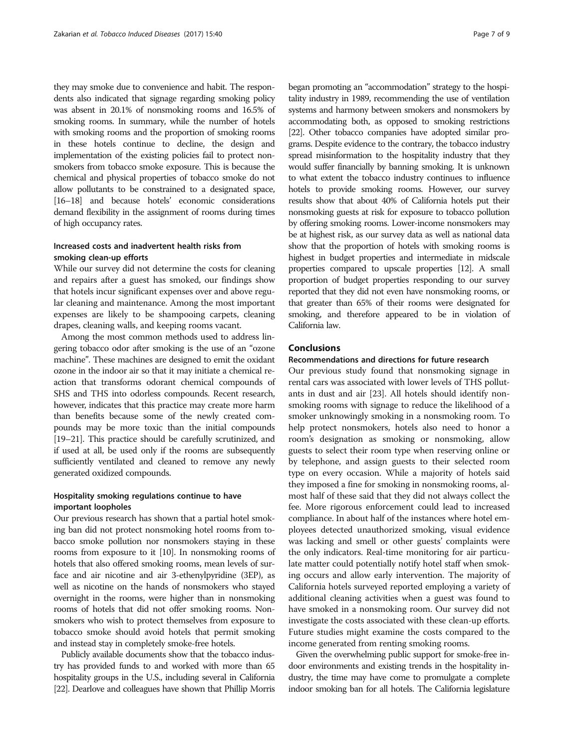they may smoke due to convenience and habit. The respondents also indicated that signage regarding smoking policy was absent in 20.1% of nonsmoking rooms and 16.5% of smoking rooms. In summary, while the number of hotels with smoking rooms and the proportion of smoking rooms in these hotels continue to decline, the design and implementation of the existing policies fail to protect nonsmokers from tobacco smoke exposure. This is because the chemical and physical properties of tobacco smoke do not allow pollutants to be constrained to a designated space, [[16](#page-8-0)–[18\]](#page-8-0) and because hotels' economic considerations demand flexibility in the assignment of rooms during times of high occupancy rates.

# Increased costs and inadvertent health risks from smoking clean-up efforts

While our survey did not determine the costs for cleaning and repairs after a guest has smoked, our findings show that hotels incur significant expenses over and above regular cleaning and maintenance. Among the most important expenses are likely to be shampooing carpets, cleaning drapes, cleaning walls, and keeping rooms vacant.

Among the most common methods used to address lingering tobacco odor after smoking is the use of an "ozone machine". These machines are designed to emit the oxidant ozone in the indoor air so that it may initiate a chemical reaction that transforms odorant chemical compounds of SHS and THS into odorless compounds. Recent research, however, indicates that this practice may create more harm than benefits because some of the newly created compounds may be more toxic than the initial compounds [[19](#page-8-0)–[21](#page-8-0)]. This practice should be carefully scrutinized, and if used at all, be used only if the rooms are subsequently sufficiently ventilated and cleaned to remove any newly generated oxidized compounds.

## Hospitality smoking regulations continue to have important loopholes

Our previous research has shown that a partial hotel smoking ban did not protect nonsmoking hotel rooms from tobacco smoke pollution nor nonsmokers staying in these rooms from exposure to it [10]. In nonsmoking rooms of hotels that also offered smoking rooms, mean levels of surface and air nicotine and air 3-ethenylpyridine (3EP), as well as nicotine on the hands of nonsmokers who stayed overnight in the rooms, were higher than in nonsmoking rooms of hotels that did not offer smoking rooms. Nonsmokers who wish to protect themselves from exposure to tobacco smoke should avoid hotels that permit smoking and instead stay in completely smoke-free hotels.

Publicly available documents show that the tobacco industry has provided funds to and worked with more than 65 hospitality groups in the U.S., including several in California [[22\]](#page-8-0). Dearlove and colleagues have shown that Phillip Morris

began promoting an "accommodation" strategy to the hospitality industry in 1989, recommending the use of ventilation systems and harmony between smokers and nonsmokers by accommodating both, as opposed to smoking restrictions [[22\]](#page-8-0). Other tobacco companies have adopted similar programs. Despite evidence to the contrary, the tobacco industry spread misinformation to the hospitality industry that they would suffer financially by banning smoking. It is unknown to what extent the tobacco industry continues to influence hotels to provide smoking rooms. However, our survey results show that about 40% of California hotels put their nonsmoking guests at risk for exposure to tobacco pollution by offering smoking rooms. Lower-income nonsmokers may be at highest risk, as our survey data as well as national data show that the proportion of hotels with smoking rooms is highest in budget properties and intermediate in midscale properties compared to upscale properties [\[12\]](#page-7-0). A small proportion of budget properties responding to our survey reported that they did not even have nonsmoking rooms, or that greater than 65% of their rooms were designated for smoking, and therefore appeared to be in violation of California law.

## Conclusions

#### Recommendations and directions for future research

Our previous study found that nonsmoking signage in rental cars was associated with lower levels of THS pollutants in dust and air [\[23\]](#page-8-0). All hotels should identify nonsmoking rooms with signage to reduce the likelihood of a smoker unknowingly smoking in a nonsmoking room. To help protect nonsmokers, hotels also need to honor a room's designation as smoking or nonsmoking, allow guests to select their room type when reserving online or by telephone, and assign guests to their selected room type on every occasion. While a majority of hotels said they imposed a fine for smoking in nonsmoking rooms, almost half of these said that they did not always collect the fee. More rigorous enforcement could lead to increased compliance. In about half of the instances where hotel employees detected unauthorized smoking, visual evidence was lacking and smell or other guests' complaints were the only indicators. Real-time monitoring for air particulate matter could potentially notify hotel staff when smoking occurs and allow early intervention. The majority of California hotels surveyed reported employing a variety of additional cleaning activities when a guest was found to have smoked in a nonsmoking room. Our survey did not investigate the costs associated with these clean-up efforts. Future studies might examine the costs compared to the income generated from renting smoking rooms.

Given the overwhelming public support for smoke-free indoor environments and existing trends in the hospitality industry, the time may have come to promulgate a complete indoor smoking ban for all hotels. The California legislature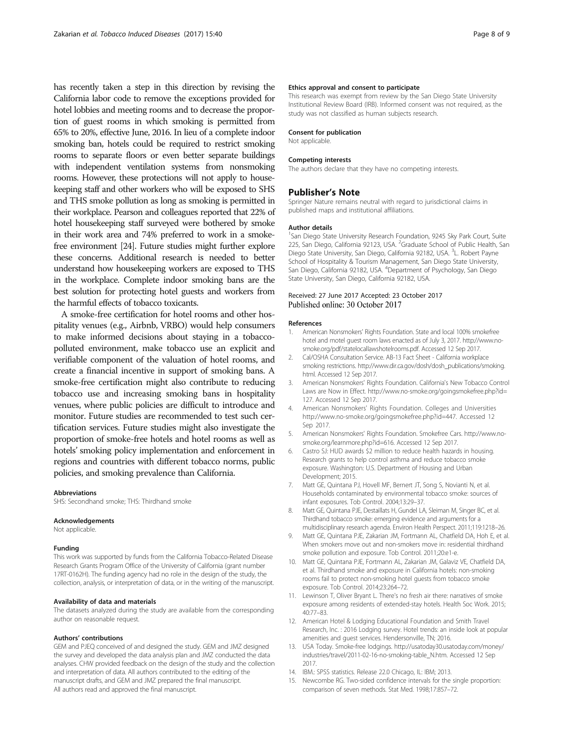<span id="page-7-0"></span>has recently taken a step in this direction by revising the California labor code to remove the exceptions provided for hotel lobbies and meeting rooms and to decrease the proportion of guest rooms in which smoking is permitted from 65% to 20%, effective June, 2016. In lieu of a complete indoor smoking ban, hotels could be required to restrict smoking rooms to separate floors or even better separate buildings with independent ventilation systems from nonsmoking rooms. However, these protections will not apply to housekeeping staff and other workers who will be exposed to SHS and THS smoke pollution as long as smoking is permitted in their workplace. Pearson and colleagues reported that 22% of hotel housekeeping staff surveyed were bothered by smoke in their work area and 74% preferred to work in a smokefree environment [\[24](#page-8-0)]. Future studies might further explore these concerns. Additional research is needed to better understand how housekeeping workers are exposed to THS in the workplace. Complete indoor smoking bans are the best solution for protecting hotel guests and workers from the harmful effects of tobacco toxicants.

A smoke-free certification for hotel rooms and other hospitality venues (e.g., Airbnb, VRBO) would help consumers to make informed decisions about staying in a tobaccopolluted environment, make tobacco use an explicit and verifiable component of the valuation of hotel rooms, and create a financial incentive in support of smoking bans. A smoke-free certification might also contribute to reducing tobacco use and increasing smoking bans in hospitality venues, where public policies are difficult to introduce and monitor. Future studies are recommended to test such certification services. Future studies might also investigate the proportion of smoke-free hotels and hotel rooms as well as hotels' smoking policy implementation and enforcement in regions and countries with different tobacco norms, public policies, and smoking prevalence than California.

#### Abbreviations

SHS: Secondhand smoke; THS: Thirdhand smoke

#### Acknowledgements

Not applicable.

#### Funding

This work was supported by funds from the California Tobacco-Related Disease Research Grants Program Office of the University of California (grant number 17RT-0162H). The funding agency had no role in the design of the study, the collection, analysis, or interpretation of data, or in the writing of the manuscript.

#### Availability of data and materials

The datasets analyzed during the study are available from the corresponding author on reasonable request.

#### Authors' contributions

GEM and PJEQ conceived of and designed the study. GEM and JMZ designed the survey and developed the data analysis plan and JMZ conducted the data analyses. CHW provided feedback on the design of the study and the collection and interpretation of data. All authors contributed to the editing of the manuscript drafts, and GEM and JMZ prepared the final manuscript. All authors read and approved the final manuscript.

#### Ethics approval and consent to participate

This research was exempt from review by the San Diego State University Institutional Review Board (IRB). Informed consent was not required, as the study was not classified as human subjects research.

#### Consent for publication

Not applicable.

#### Competing interests

The authors declare that they have no competing interests.

#### Publisher's Note

Springer Nature remains neutral with regard to jurisdictional claims in published maps and institutional affiliations.

#### Author details

<sup>1</sup>San Diego State University Research Foundation, 9245 Sky Park Court, Suite 225, San Diego, California 92123, USA. <sup>2</sup>Graduate School of Public Health, San Diego State University, San Diego, California 92182, USA. <sup>3</sup>L. Robert Payne School of Hospitality & Tourism Management, San Diego State University, San Diego, California 92182, USA. <sup>4</sup>Department of Psychology, San Diego State University, San Diego, California 92182, USA.

## Received: 27 June 2017 Accepted: 23 October 2017 Published online: 30 October 2017

#### References

- 1. American Nonsmokers' Rights Foundation. State and local 100% smokefree hotel and motel guest room laws enacted as of July 3, 2017. [http://www.no](http://www.no-smoke.org/pdf/statelocallawshotelrooms.pdf)[smoke.org/pdf/statelocallawshotelrooms.pdf](http://www.no-smoke.org/pdf/statelocallawshotelrooms.pdf). Accessed 12 Sep 2017.
- 2. Cal/OSHA Consultation Service. AB-13 Fact Sheet California workplace smoking restrictions. [http://www.dir.ca.gov/dosh/dosh\\_publications/smoking.](http://www.dir.ca.gov/dosh/dosh_publications/smoking.html) [html.](http://www.dir.ca.gov/dosh/dosh_publications/smoking.html) Accessed 12 Sep 2017.
- 3. American Nonsmokers' Rights Foundation. California's New Tobacco Control Laws are Now in Effect. [http://www.no-smoke.org/goingsmokefree.php?id=](http://www.no-smoke.org/goingsmokefree.php?id=127) [127.](http://www.no-smoke.org/goingsmokefree.php?id=127) Accessed 12 Sep 2017.
- 4. American Nonsmokers' Rights Foundation. Colleges and Universities <http://www.no-smoke.org/goingsmokefree.php?id=447>. Accessed 12 Sep 2017.
- 5. American Nonsmokers' Rights Foundation. Smokefree Cars. [http://www.no](http://www.no-smoke.org/learnmore.php?id=616)[smoke.org/learnmore.php?id=616.](http://www.no-smoke.org/learnmore.php?id=616) Accessed 12 Sep 2017.
- 6. Castro SJ: HUD awards \$2 million to reduce health hazards in housing. Research grants to help control asthma and reduce tobacco smoke exposure. Washington: U.S. Department of Housing and Urban Development; 2015.
- 7. Matt GE, Quintana PJ, Hovell MF, Bernert JT, Song S, Novianti N, et al. Households contaminated by environmental tobacco smoke: sources of infant exposures. Tob Control. 2004;13:29–37.
- 8. Matt GE, Quintana PJE, Destaillats H, Gundel LA, Sleiman M, Singer BC, et al. Thirdhand tobacco smoke: emerging evidence and arguments for a multidisciplinary research agenda. Environ Health Perspect. 2011;119:1218–26.
- 9. Matt GE, Quintana PJE, Zakarian JM, Fortmann AL, Chatfield DA, Hoh E, et al. When smokers move out and non-smokers move in: residential thirdhand smoke pollution and exposure. Tob Control. 2011;20:e1-e.
- 10. Matt GE, Quintana PJE, Fortmann AL, Zakarian JM, Galaviz VE, Chatfield DA, et al. Thirdhand smoke and exposure in California hotels: non-smoking rooms fail to protect non-smoking hotel guests from tobacco smoke exposure. Tob Control. 2014;23:264–72.
- 11. Lewinson T, Oliver Bryant L. There's no fresh air there: narratives of smoke exposure among residents of extended-stay hotels. Health Soc Work. 2015; 40:77–83.
- 12. American Hotel & Lodging Educational Foundation and Smith Travel Research, Inc. : 2016 Lodging survey. Hotel trends: an inside look at popular amenities and guest services. Hendersonville, TN; 2016.
- 13. USA Today. Smoke-free lodgings. [http://usatoday30.usatoday.com/money/](http://usatoday30.usatoday.com/money/industries/travel/2011-02-16-no-smoking-table_N.htm) [industries/travel/2011-02-16-no-smoking-table\\_N.htm.](http://usatoday30.usatoday.com/money/industries/travel/2011-02-16-no-smoking-table_N.htm) Accessed 12 Sep 2017.
- 14. IBM.: SPSS statistics. Release 22.0 Chicago, IL: IBM; 2013.
- 15. Newcombe RG. Two-sided confidence intervals for the single proportion: comparison of seven methods. Stat Med. 1998;17:857–72.